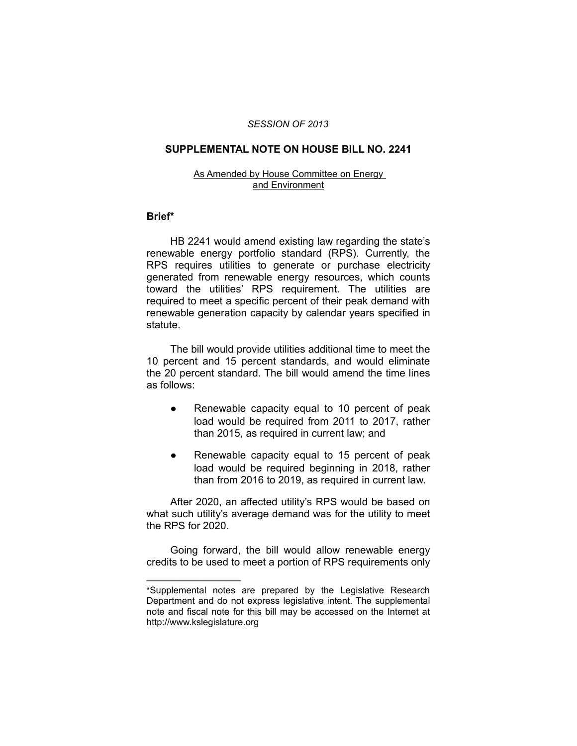### *SESSION OF 2013*

## **SUPPLEMENTAL NOTE ON HOUSE BILL NO. 2241**

#### As Amended by House Committee on Energy and Environment

## **Brief\***

HB 2241 would amend existing law regarding the state's renewable energy portfolio standard (RPS). Currently, the RPS requires utilities to generate or purchase electricity generated from renewable energy resources, which counts toward the utilities' RPS requirement. The utilities are required to meet a specific percent of their peak demand with renewable generation capacity by calendar years specified in statute.

The bill would provide utilities additional time to meet the 10 percent and 15 percent standards, and would eliminate the 20 percent standard. The bill would amend the time lines as follows:

- Renewable capacity equal to 10 percent of peak load would be required from 2011 to 2017, rather than 2015, as required in current law; and
- Renewable capacity equal to 15 percent of peak load would be required beginning in 2018, rather than from 2016 to 2019, as required in current law.

After 2020, an affected utility's RPS would be based on what such utility's average demand was for the utility to meet the RPS for 2020.

Going forward, the bill would allow renewable energy credits to be used to meet a portion of RPS requirements only

 $\overline{\phantom{a}}$  , where  $\overline{\phantom{a}}$  , where  $\overline{\phantom{a}}$ 

<sup>\*</sup>Supplemental notes are prepared by the Legislative Research Department and do not express legislative intent. The supplemental note and fiscal note for this bill may be accessed on the Internet at http://www.kslegislature.org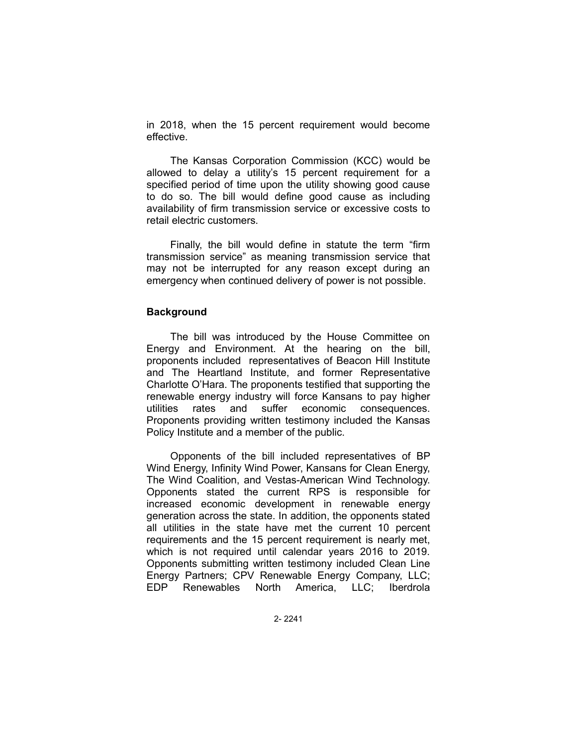in 2018, when the 15 percent requirement would become effective.

The Kansas Corporation Commission (KCC) would be allowed to delay a utility's 15 percent requirement for a specified period of time upon the utility showing good cause to do so. The bill would define good cause as including availability of firm transmission service or excessive costs to retail electric customers.

Finally, the bill would define in statute the term "firm transmission service" as meaning transmission service that may not be interrupted for any reason except during an emergency when continued delivery of power is not possible.

# **Background**

The bill was introduced by the House Committee on Energy and Environment. At the hearing on the bill, proponents included representatives of Beacon Hill Institute and The Heartland Institute, and former Representative Charlotte O'Hara. The proponents testified that supporting the renewable energy industry will force Kansans to pay higher utilities rates and suffer economic consequences. Proponents providing written testimony included the Kansas Policy Institute and a member of the public.

Opponents of the bill included representatives of BP Wind Energy, Infinity Wind Power, Kansans for Clean Energy, The Wind Coalition, and Vestas-American Wind Technology. Opponents stated the current RPS is responsible for increased economic development in renewable energy generation across the state. In addition, the opponents stated all utilities in the state have met the current 10 percent requirements and the 15 percent requirement is nearly met, which is not required until calendar years 2016 to 2019. Opponents submitting written testimony included Clean Line Energy Partners; CPV Renewable Energy Company, LLC; EDP Renewables North America, LLC; Iberdrola